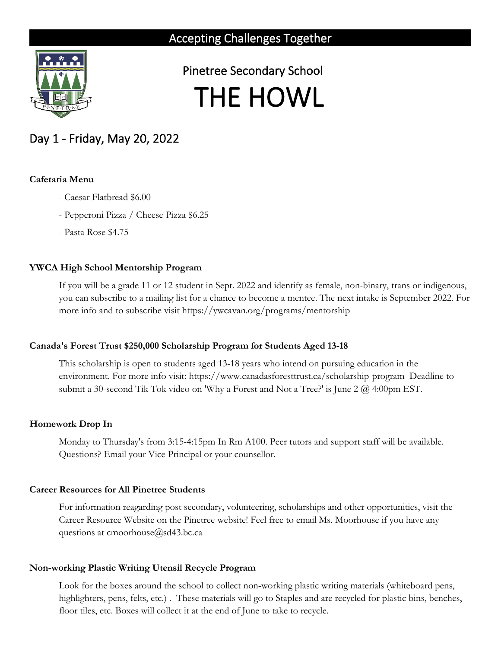

 Pinetree Secondary School THE HOWL

# Day 1 - Friday, May 20, 2022

#### **Cafetaria Menu**

- Caesar Flatbread \$6.00
- Pepperoni Pizza / Cheese Pizza \$6.25
- Pasta Rose \$4.75

## **YWCA High School Mentorship Program**

If you will be a grade 11 or 12 student in Sept. 2022 and identify as female, non-binary, trans or indigenous, you can subscribe to a mailing list for a chance to become a mentee. The next intake is September 2022. For more info and to subscribe visit https://ywcavan.org/programs/mentorship

## **Canada's Forest Trust \$250,000 Scholarship Program for Students Aged 13-18**

This scholarship is open to students aged 13-18 years who intend on pursuing education in the environment. For more info visit: https://www.canadasforesttrust.ca/scholarship-program Deadline to submit a 30-second Tik Tok video on 'Why a Forest and Not a Tree?' is June 2 @ 4:00pm EST.

## **Homework Drop In**

Monday to Thursday's from 3:15-4:15pm In Rm A100. Peer tutors and support staff will be available. Questions? Email your Vice Principal or your counsellor.

## **Career Resources for All Pinetree Students**

For information reagarding post secondary, volunteering, scholarships and other opportunities, visit the Career Resource Website on the Pinetree website! Feel free to email Ms. Moorhouse if you have any questions at cmoorhouse@sd43.bc.ca

## **Non-working Plastic Writing Utensil Recycle Program**

Look for the boxes around the school to collect non-working plastic writing materials (whiteboard pens, highlighters, pens, felts, etc.) . These materials will go to Staples and are recycled for plastic bins, benches, floor tiles, etc. Boxes will collect it at the end of June to take to recycle.